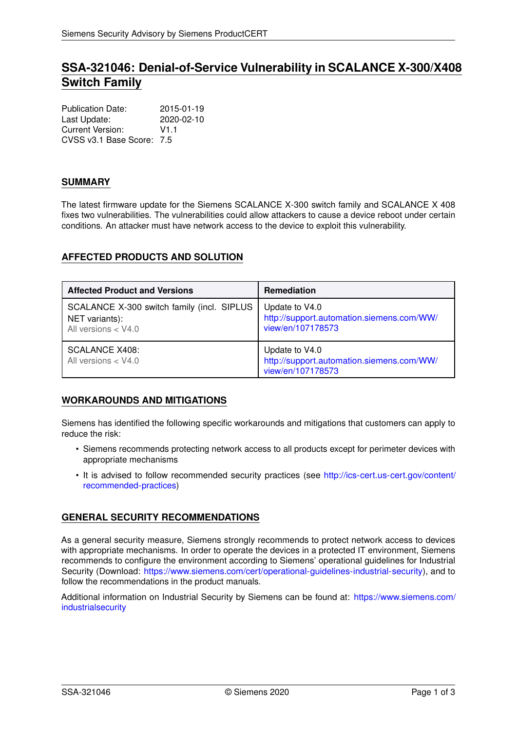# **SSA-321046: Denial-of-Service Vulnerability in SCALANCE X-300/X408 Switch Family**

Publication Date: 2015-01-19 Last Update: 2020-02-10 Current Version: V1.1 CVSS v3.1 Base Score: 7.5

### **SUMMARY**

The latest firmware update for the Siemens SCALANCE X-300 switch family and SCALANCE X 408 fixes two vulnerabilities. The vulnerabilities could allow attackers to cause a device reboot under certain conditions. An attacker must have network access to the device to exploit this vulnerability.

# **AFFECTED PRODUCTS AND SOLUTION**

| <b>Affected Product and Versions</b>                                                  | <b>Remediation</b>                                                               |
|---------------------------------------------------------------------------------------|----------------------------------------------------------------------------------|
| SCALANCE X-300 switch family (incl. SIPLUS<br>NET variants):<br>All versions $<$ V4.0 | Update to V4.0<br>http://support.automation.siemens.com/WW/<br>view/en/107178573 |
| <b>SCALANCE X408:</b><br>All versions $<$ V4.0                                        | Update to V4.0<br>http://support.automation.siemens.com/WW/<br>view/en/107178573 |

# **WORKAROUNDS AND MITIGATIONS**

Siemens has identified the following specific workarounds and mitigations that customers can apply to reduce the risk:

- Siemens recommends protecting network access to all products except for perimeter devices with appropriate mechanisms
- It is advised to follow recommended security practices (see [http://ics-cert.us-cert.gov/content/](http://ics-cert.us-cert.gov/content/recommended-practices) [recommended-practices\)](http://ics-cert.us-cert.gov/content/recommended-practices)

# **GENERAL SECURITY RECOMMENDATIONS**

As a general security measure, Siemens strongly recommends to protect network access to devices with appropriate mechanisms. In order to operate the devices in a protected IT environment, Siemens recommends to configure the environment according to Siemens' operational guidelines for Industrial Security (Download: [https://www.siemens.com/cert/operational-guidelines-industrial-security\)](https://www.siemens.com/cert/operational-guidelines-industrial-security), and to follow the recommendations in the product manuals.

Additional information on Industrial Security by Siemens can be found at: [https://www.siemens.com/](https://www.siemens.com/industrialsecurity) [industrialsecurity](https://www.siemens.com/industrialsecurity)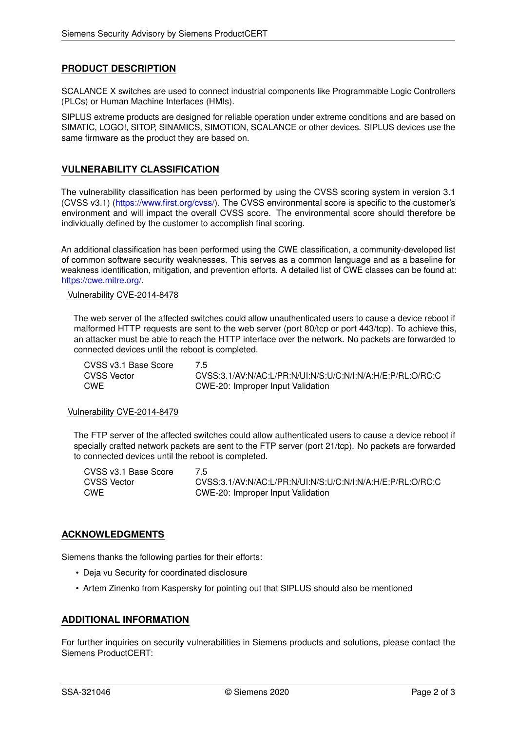### **PRODUCT DESCRIPTION**

SCALANCE X switches are used to connect industrial components like Programmable Logic Controllers (PLCs) or Human Machine Interfaces (HMIs).

SIPLUS extreme products are designed for reliable operation under extreme conditions and are based on SIMATIC, LOGO!, SITOP, SINAMICS, SIMOTION, SCALANCE or other devices. SIPLUS devices use the same firmware as the product they are based on.

### **VULNERABILITY CLASSIFICATION**

The vulnerability classification has been performed by using the CVSS scoring system in version 3.1 (CVSS v3.1) [\(https://www.first.org/cvss/\)](https://www.first.org/cvss/). The CVSS environmental score is specific to the customer's environment and will impact the overall CVSS score. The environmental score should therefore be individually defined by the customer to accomplish final scoring.

An additional classification has been performed using the CWE classification, a community-developed list of common software security weaknesses. This serves as a common language and as a baseline for weakness identification, mitigation, and prevention efforts. A detailed list of CWE classes can be found at: [https://cwe.mitre.org/.](https://cwe.mitre.org/)

#### Vulnerability CVE-2014-8478

The web server of the affected switches could allow unauthenticated users to cause a device reboot if malformed HTTP requests are sent to the web server (port 80/tcp or port 443/tcp). To achieve this, an attacker must be able to reach the HTTP interface over the network. No packets are forwarded to connected devices until the reboot is completed.

CVSS v3.1 Base Score 7.5 CVSS Vector CVSS:3.1/AV:N/AC:L/PR:N/UI:N/S:U/C:N/I:N/A:H/E:P/RL:O/RC:C CWE CWE-20: Improper Input Validation

#### Vulnerability CVE-2014-8479

The FTP server of the affected switches could allow authenticated users to cause a device reboot if specially crafted network packets are sent to the FTP server (port 21/tcp). No packets are forwarded to connected devices until the reboot is completed.

CVSS v3.1 Base Score 7.5 CVSS Vector CVSS:3.1/AV:N/AC:L/PR:N/UI:N/S:U/C:N/I:N/A:H/E:P/RL:O/RC:C CWE CWE-20: Improper Input Validation

### **ACKNOWLEDGMENTS**

Siemens thanks the following parties for their efforts:

- Deja vu Security for coordinated disclosure
- Artem Zinenko from Kaspersky for pointing out that SIPLUS should also be mentioned

### **ADDITIONAL INFORMATION**

For further inquiries on security vulnerabilities in Siemens products and solutions, please contact the Siemens ProductCERT: